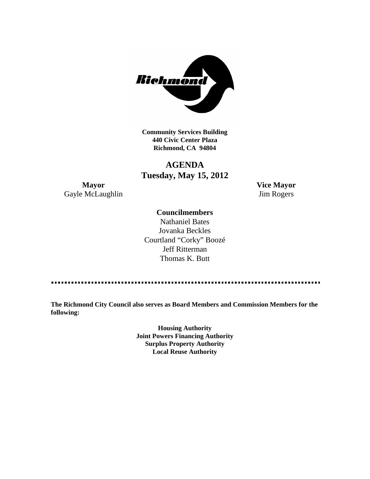

**Community Services Building 440 Civic Center Plaza Richmond, CA 94804**

## **AGENDA Tuesday, May 15, 2012**

**Mayor Vice Mayor** Gayle McLaughlin Jim Rogers

#### **Councilmembers**

Nathaniel Bates Jovanka Beckles Courtland "Corky" Boozé Jeff Ritterman Thomas K. Butt

**The Richmond City Council also serves as Board Members and Commission Members for the following:**

> **Housing Authority Joint Powers Financing Authority Surplus Property Authority Local Reuse Authority**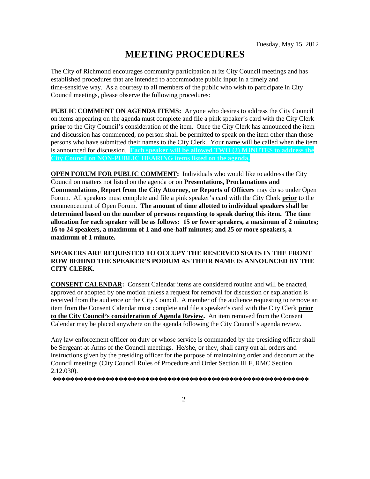# **MEETING PROCEDURES**

The City of Richmond encourages community participation at its City Council meetings and has established procedures that are intended to accommodate public input in a timely and time-sensitive way. As a courtesy to all members of the public who wish to participate in City Council meetings, please observe the following procedures:

**PUBLIC COMMENT ON AGENDA ITEMS:** Anyone who desires to address the City Council on items appearing on the agenda must complete and file a pink speaker's card with the City Clerk **prior** to the City Council's consideration of the item. Once the City Clerk has announced the item and discussion has commenced, no person shall be permitted to speak on the item other than those persons who have submitted their names to the City Clerk. Your name will be called when the item is announced for discussion. **Each speaker will be allowed TWO (2) MINUTES to address the City Council on NON-PUBLIC HEARING items listed on the agenda.**

**OPEN FORUM FOR PUBLIC COMMENT:** Individuals who would like to address the City Council on matters not listed on the agenda or on **Presentations, Proclamations and Commendations, Report from the City Attorney, or Reports of Officers** may do so under Open Forum. All speakers must complete and file a pink speaker's card with the City Clerk **prior** to the commencement of Open Forum. **The amount of time allotted to individual speakers shall be determined based on the number of persons requesting to speak during this item. The time allocation for each speaker will be as follows: 15 or fewer speakers, a maximum of 2 minutes; 16 to 24 speakers, a maximum of 1 and one-half minutes; and 25 or more speakers, a maximum of 1 minute.**

#### **SPEAKERS ARE REQUESTED TO OCCUPY THE RESERVED SEATS IN THE FRONT ROW BEHIND THE SPEAKER'S PODIUM AS THEIR NAME IS ANNOUNCED BY THE CITY CLERK.**

**CONSENT CALENDAR:** Consent Calendar items are considered routine and will be enacted, approved or adopted by one motion unless a request for removal for discussion or explanation is received from the audience or the City Council. A member of the audience requesting to remove an item from the Consent Calendar must complete and file a speaker's card with the City Clerk **prior to the City Council's consideration of Agenda Review.** An item removed from the Consent Calendar may be placed anywhere on the agenda following the City Council's agenda review.

Any law enforcement officer on duty or whose service is commanded by the presiding officer shall be Sergeant-at-Arms of the Council meetings. He/she, or they, shall carry out all orders and instructions given by the presiding officer for the purpose of maintaining order and decorum at the Council meetings (City Council Rules of Procedure and Order Section III F, RMC Section 2.12.030).

**\*\*\*\*\*\*\*\*\*\*\*\*\*\*\*\*\*\*\*\*\*\*\*\*\*\*\*\*\*\*\*\*\*\*\*\*\*\*\*\*\*\*\*\*\*\*\*\*\*\*\*\*\*\*\*\*\*\***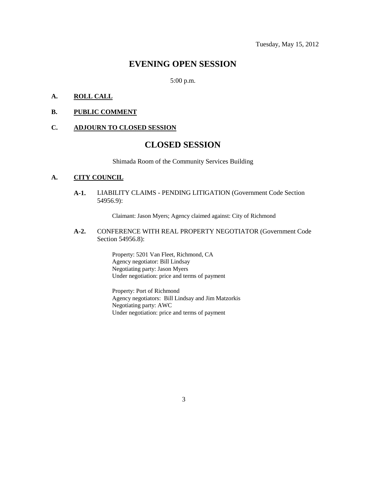### **EVENING OPEN SESSION**

5:00 p.m.

#### **A. ROLL CALL**

#### **B. PUBLIC COMMENT**

#### **C. ADJOURN TO CLOSED SESSION**

### **CLOSED SESSION**

Shimada Room of the Community Services Building

#### **A. CITY COUNCIL**

**A-1.** LIABILITY CLAIMS - PENDING LITIGATION (Government Code Section 54956.9):

Claimant: Jason Myers; Agency claimed against: City of Richmond

**A-2.** CONFERENCE WITH REAL PROPERTY NEGOTIATOR (Government Code Section 54956.8):

> Property: 5201 Van Fleet, Richmond, CA Agency negotiator: Bill Lindsay Negotiating party: Jason Myers Under negotiation: price and terms of payment

Property: Port of Richmond Agency negotiators: Bill Lindsay and Jim Matzorkis Negotiating party: AWC Under negotiation: price and terms of payment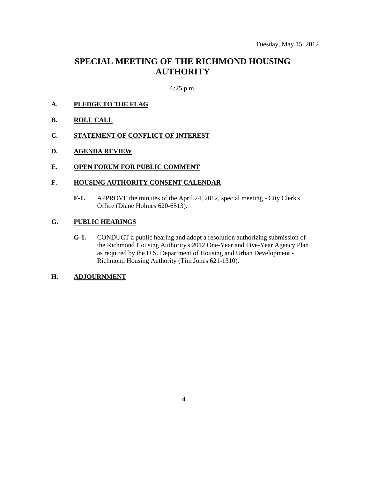### **SPECIAL MEETING OF THE RICHMOND HOUSING AUTHORITY**

#### 6:25 p.m.

- **A. PLEDGE TO THE FLAG**
- **B. ROLL CALL**
- **C. STATEMENT OF CONFLICT OF INTEREST**
- **D. AGENDA REVIEW**
- **E. OPEN FORUM FOR PUBLIC COMMENT**

#### **F. HOUSING AUTHORITY CONSENT CALENDAR**

**F-1.** APPROVE the minutes of the April 24, 2012, special meeting - City Clerk's Office (Diane Holmes 620-6513).

#### **G. PUBLIC HEARINGS**

**G-1.** CONDUCT a public hearing and adopt a resolution authorizing submission of the Richmond Housing Authority's 2012 One-Year and Five-Year Agency Plan as required by the U.S. Department of Housing and Urban Development - Richmond Housing Authority (Tim Jones 621-1310).

#### **H. ADJOURNMENT**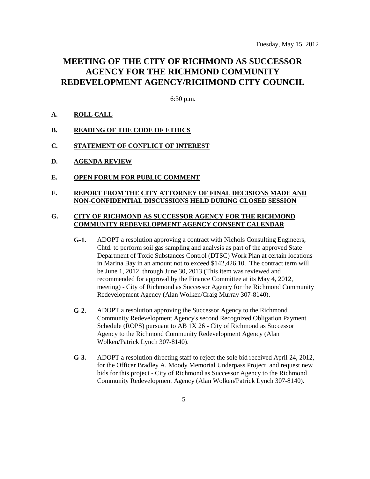### **MEETING OF THE CITY OF RICHMOND AS SUCCESSOR AGENCY FOR THE RICHMOND COMMUNITY REDEVELOPMENT AGENCY/RICHMOND CITY COUNCIL**

6:30 p.m.

#### **A. ROLL CALL**

- **B. READING OF THE CODE OF ETHICS**
- **C. STATEMENT OF CONFLICT OF INTEREST**
- **D. AGENDA REVIEW**
- **E. OPEN FORUM FOR PUBLIC COMMENT**

#### **F. REPORT FROM THE CITY ATTORNEY OF FINAL DECISIONS MADE AND NON-CONFIDENTIAL DISCUSSIONS HELD DURING CLOSED SESSION**

#### **G. CITY OF RICHMOND AS SUCCESSOR AGENCY FOR THE RICHMOND COMMUNITY REDEVELOPMENT AGENCY CONSENT CALENDAR**

- **G-1.** ADOPT a resolution approving a contract with Nichols Consulting Engineers, Chtd. to perform soil gas sampling and analysis as part of the approved State Department of Toxic Substances Control (DTSC) Work Plan at certain locations in Marina Bay in an amount not to exceed \$142,426.10. The contract term will be June 1, 2012, through June 30, 2013 (This item was reviewed and recommended for approval by the Finance Committee at its May 4, 2012, meeting) - City of Richmond as Successor Agency for the Richmond Community Redevelopment Agency (Alan Wolken/Craig Murray 307-8140).
- **G-2.** ADOPT a resolution approving the Successor Agency to the Richmond Community Redevelopment Agency's second Recognized Obligation Payment Schedule (ROPS) pursuant to AB 1X 26 - City of Richmond as Successor Agency to the Richmond Community Redevelopment Agency (Alan Wolken/Patrick Lynch 307-8140).
- **G-3.** ADOPT a resolution directing staff to reject the sole bid received April 24, 2012, for the Officer Bradley A. Moody Memorial Underpass Project and request new bids for this project - City of Richmond as Successor Agency to the Richmond Community Redevelopment Agency (Alan Wolken/Patrick Lynch 307-8140).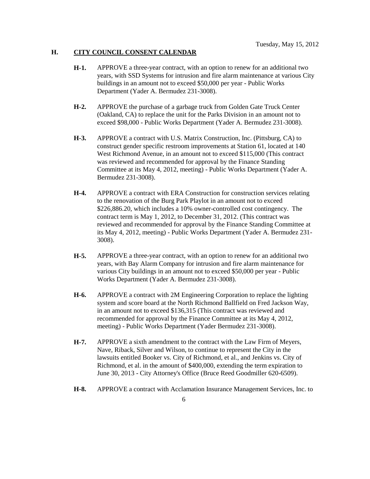#### **H. CITY COUNCIL CONSENT CALENDAR**

- **H-1.** APPROVE a three-year contract, with an option to renew for an additional two years, with SSD Systems for intrusion and fire alarm maintenance at various City buildings in an amount not to exceed \$50,000 per year - Public Works Department (Yader A. Bermudez 231-3008).
- **H-2.** APPROVE the purchase of a garbage truck from Golden Gate Truck Center (Oakland, CA) to replace the unit for the Parks Division in an amount not to exceed \$98,000 - Public Works Department (Yader A. Bermudez 231-3008).
- **H-3.** APPROVE a contract with U.S. Matrix Construction, Inc. (Pittsburg, CA) to construct gender specific restroom improvements at Station 61, located at 140 West Richmond Avenue, in an amount not to exceed \$115,000 (This contract was reviewed and recommended for approval by the Finance Standing Committee at its May 4, 2012, meeting) - Public Works Department (Yader A. Bermudez 231-3008).
- **H-4.** APPROVE a contract with ERA Construction for construction services relating to the renovation of the Burg Park Playlot in an amount not to exceed \$226,886.20, which includes a 10% owner-controlled cost contingency. The contract term is May 1, 2012, to December 31, 2012. (This contract was reviewed and recommended for approval by the Finance Standing Committee at its May 4, 2012, meeting) - Public Works Department (Yader A. Bermudez 231- 3008).
- **H-5.** APPROVE a three-year contract, with an option to renew for an additional two years, with Bay Alarm Company for intrusion and fire alarm maintenance for various City buildings in an amount not to exceed \$50,000 per year - Public Works Department (Yader A. Bermudez 231-3008).
- **H-6.** APPROVE a contract with 2M Engineering Corporation to replace the lighting system and score board at the North Richmond Ballfield on Fred Jackson Way, in an amount not to exceed \$136,315 (This contract was reviewed and recommended for approval by the Finance Committee at its May 4, 2012, meeting) - Public Works Department (Yader Bermudez 231-3008).
- **H-7.** APPROVE a sixth amendment to the contract with the Law Firm of Meyers, Nave, Riback, Silver and Wilson, to continue to represent the City in the lawsuits entitled Booker vs. City of Richmond, et al., and Jenkins vs. City of Richmond, et al. in the amount of \$400,000, extending the term expiration to June 30, 2013 - City Attorney's Office (Bruce Reed Goodmiller 620-6509).
- **H-8.** APPROVE a contract with Acclamation Insurance Management Services, Inc. to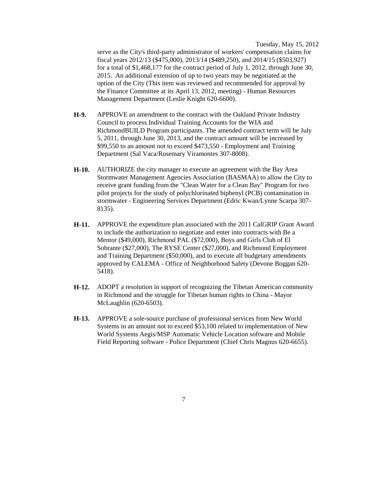Tuesday, May 15, 2012

serve as the City's third-party administrator of workers' compensation claims for fiscal years 2012/13 (\$475,000), 2013/14 (\$489,250), and 2014/15 (\$503,927) for a total of \$1,468,177 for the contract period of July 1, 2012, through June 30, 2015. An additional extension of up to two years may be negotiated at the option of the City (This item was reviewed and recommended for approval by the Finance Committee at its April 13, 2012, meeting) - Human Resources Management Department (Leslie Knight 620-6600).

- **H-9.** APPROVE an amendment to the contract with the Oakland Private Industry Council to process Individual Training Accounts for the WIA and RichmondBUILD Program participants. The amended contract term will be July 5, 2011, through June 30, 2013, and the contract amount will be increased by \$99,550 to an amount not to exceed \$473,550 - Employment and Training Department (Sal Vaca/Rosemary Viramontes 307-8008).
- **H-10.** AUTHORIZE the city manager to execute an agreement with the Bay Area Stormwater Management Agencies Association (BASMAA) to allow the City to receive grant funding from the "Clean Water for a Clean Bay" Program for two pilot projects for the study of polychlorinated biphenyl (PCB) contamination in stormwater - Engineering Services Department (Edric Kwan/Lynne Scarpa 307- 8135).
- **H-11.** APPROVE the expenditure plan associated with the 2011 CalGRIP Grant Award to include the authorization to negotiate and enter into contracts with Be a Mentor (\$49,000), Richmond PAL (\$72,000), Boys and Girls Club of El Sobrante (\$27,000), The RYSE Center (\$27,000), and Richmond Employment and Training Department (\$50,000), and to execute all budgetary amendments approved by CALEMA - Office of Neighborhood Safety (Devone Boggan 620- 5418).
- **H-12.** ADOPT a resolution in support of recognizing the Tibetan American community in Richmond and the struggle for Tibetan human rights in China - Mayor McLaughlin (620-6503).
- **H-13.** APPROVE a sole-source purchase of professional services from New World Systems in an amount not to exceed \$53,100 related to implementation of New World Systems Aegis/MSP Automatic Vehicle Location software and Mobile Field Reporting software - Police Department (Chief Chris Magnus 620-6655).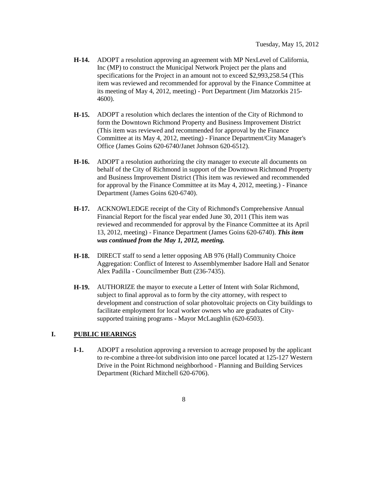- **H-14.** ADOPT a resolution approving an agreement with MP NexLevel of California, Inc (MP) to construct the Municipal Network Project per the plans and specifications for the Project in an amount not to exceed \$2,993,258.54 (This item was reviewed and recommended for approval by the Finance Committee at its meeting of May 4, 2012, meeting) - Port Department (Jim Matzorkis 215- 4600).
- **H-15.** ADOPT a resolution which declares the intention of the City of Richmond to form the Downtown Richmond Property and Business Improvement District (This item was reviewed and recommended for approval by the Finance Committee at its May 4, 2012, meeting) - Finance Department/City Manager's Office (James Goins 620-6740/Janet Johnson 620-6512).
- **H-16.** ADOPT a resolution authorizing the city manager to execute all documents on behalf of the City of Richmond in support of the Downtown Richmond Property and Business Improvement District (This item was reviewed and recommended for approval by the Finance Committee at its May 4, 2012, meeting.) - Finance Department (James Goins 620-6740).
- **H-17.** ACKNOWLEDGE receipt of the City of Richmond's Comprehensive Annual Financial Report for the fiscal year ended June 30, 2011 (This item was reviewed and recommended for approval by the Finance Committee at its April 13, 2012, meeting) - Finance Department (James Goins 620-6740). *This item was continued from the May 1, 2012, meeting.*
- **H-18.** DIRECT staff to send a letter opposing AB 976 (Hall) Community Choice Aggregation: Conflict of Interest to Assemblymember Isadore Hall and Senator Alex Padilla - Councilmember Butt (236-7435).
- **H-19.** AUTHORIZE the mayor to execute a Letter of Intent with Solar Richmond, subject to final approval as to form by the city attorney, with respect to development and construction of solar photovoltaic projects on City buildings to facilitate employment for local worker owners who are graduates of Citysupported training programs - Mayor McLaughlin (620-6503).

#### **I. PUBLIC HEARINGS**

**I-1.** ADOPT a resolution approving a reversion to acreage proposed by the applicant to re-combine a three-lot subdivision into one parcel located at 125-127 Western Drive in the Point Richmond neighborhood - Planning and Building Services Department (Richard Mitchell 620-6706).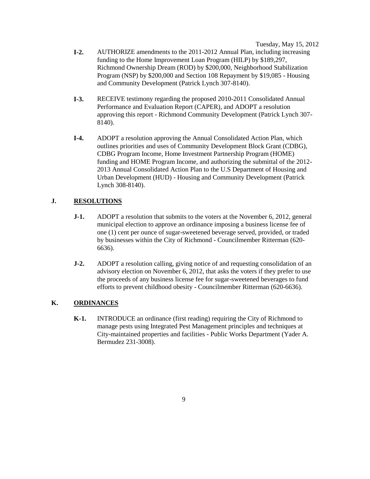Tuesday, May 15, 2012

- **I-2.** AUTHORIZE amendments to the 2011-2012 Annual Plan, including increasing funding to the Home Improvement Loan Program (HILP) by \$189,297, Richmond Ownership Dream (ROD) by \$200,000, Neighborhood Stabilization Program (NSP) by \$200,000 and Section 108 Repayment by \$19,085 - Housing and Community Development (Patrick Lynch 307-8140).
- **I-3.** RECEIVE testimony regarding the proposed 2010-2011 Consolidated Annual Performance and Evaluation Report (CAPER), and ADOPT a resolution approving this report - Richmond Community Development (Patrick Lynch 307- 8140).
- **I-4.** ADOPT a resolution approving the Annual Consolidated Action Plan, which outlines priorities and uses of Community Development Block Grant (CDBG), CDBG Program Income, Home Investment Partnership Program (HOME) funding and HOME Program Income, and authorizing the submittal of the 2012- 2013 Annual Consolidated Action Plan to the U.S Department of Housing and Urban Development (HUD) - Housing and Community Development (Patrick Lynch 308-8140).

#### **J. RESOLUTIONS**

- **J-1.** ADOPT a resolution that submits to the voters at the November 6, 2012, general municipal election to approve an ordinance imposing a business license fee of one (1) cent per ounce of sugar-sweetened beverage served, provided, or traded by businesses within the City of Richmond - Councilmember Ritterman (620- 6636).
- **J-2.** ADOPT a resolution calling, giving notice of and requesting consolidation of an advisory election on November 6, 2012, that asks the voters if they prefer to use the proceeds of any business license fee for sugar-sweetened beverages to fund efforts to prevent childhood obesity - Councilmember Ritterman (620-6636).

#### **K. ORDINANCES**

**K-1.** INTRODUCE an ordinance (first reading) requiring the City of Richmond to manage pests using Integrated Pest Management principles and techniques at City-maintained properties and facilities - Public Works Department (Yader A. Bermudez 231-3008).